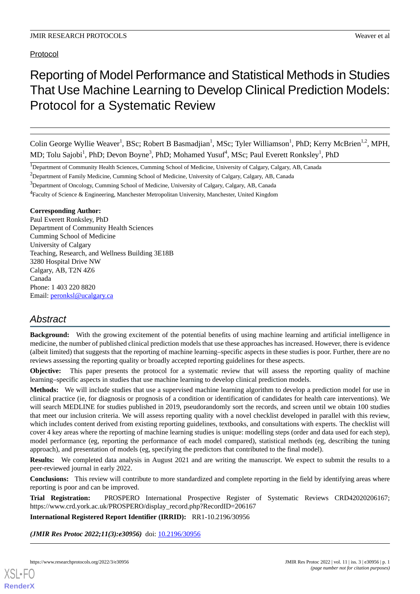Protocol

# Reporting of Model Performance and Statistical Methods in Studies That Use Machine Learning to Develop Clinical Prediction Models: Protocol for a Systematic Review

Colin George Wyllie Weaver<sup>1</sup>, BSc; Robert B Basmadjian<sup>1</sup>, MSc; Tyler Williamson<sup>1</sup>, PhD; Kerry McBrien<sup>1,2</sup>, MPH, MD; Tolu Sajobi<sup>1</sup>, PhD; Devon Boyne<sup>3</sup>, PhD; Mohamed Yusuf<sup>4</sup>, MSc; Paul Everett Ronksley<sup>1</sup>, PhD

<sup>1</sup>Department of Community Health Sciences, Cumming School of Medicine, University of Calgary, Calgary, AB, Canada

<sup>2</sup>Department of Family Medicine, Cumming School of Medicine, University of Calgary, Calgary, AB, Canada

<sup>3</sup>Department of Oncology, Cumming School of Medicine, University of Calgary, Calgary, AB, Canada

<sup>4</sup> Faculty of Science & Engineering, Manchester Metropolitan University, Manchester, United Kingdom

### **Corresponding Author:**

Paul Everett Ronksley, PhD Department of Community Health Sciences Cumming School of Medicine University of Calgary Teaching, Research, and Wellness Building 3E18B 3280 Hospital Drive NW Calgary, AB, T2N 4Z6 Canada Phone: 1 403 220 8820 Email: [peronksl@ucalgary.ca](mailto:peronksl@ucalgary.ca)

# *Abstract*

**Background:** With the growing excitement of the potential benefits of using machine learning and artificial intelligence in medicine, the number of published clinical prediction models that use these approaches has increased. However, there is evidence (albeit limited) that suggests that the reporting of machine learning–specific aspects in these studies is poor. Further, there are no reviews assessing the reporting quality or broadly accepted reporting guidelines for these aspects.

**Objective:** This paper presents the protocol for a systematic review that will assess the reporting quality of machine learning–specific aspects in studies that use machine learning to develop clinical prediction models.

**Methods:** We will include studies that use a supervised machine learning algorithm to develop a prediction model for use in clinical practice (ie, for diagnosis or prognosis of a condition or identification of candidates for health care interventions). We will search MEDLINE for studies published in 2019, pseudorandomly sort the records, and screen until we obtain 100 studies that meet our inclusion criteria. We will assess reporting quality with a novel checklist developed in parallel with this review, which includes content derived from existing reporting guidelines, textbooks, and consultations with experts. The checklist will cover 4 key areas where the reporting of machine learning studies is unique: modelling steps (order and data used for each step), model performance (eg, reporting the performance of each model compared), statistical methods (eg, describing the tuning approach), and presentation of models (eg, specifying the predictors that contributed to the final model).

**Results:** We completed data analysis in August 2021 and are writing the manuscript. We expect to submit the results to a peer-reviewed journal in early 2022.

**Conclusions:** This review will contribute to more standardized and complete reporting in the field by identifying areas where reporting is poor and can be improved.

**Trial Registration:** PROSPERO International Prospective Register of Systematic Reviews CRD42020206167; https://www.crd.york.ac.uk/PROSPERO/display\_record.php?RecordID=206167

**International Registered Report Identifier (IRRID):** RR1-10.2196/30956

*(JMIR Res Protoc 2022;11(3):e30956)* doi: [10.2196/30956](http://dx.doi.org/10.2196/30956)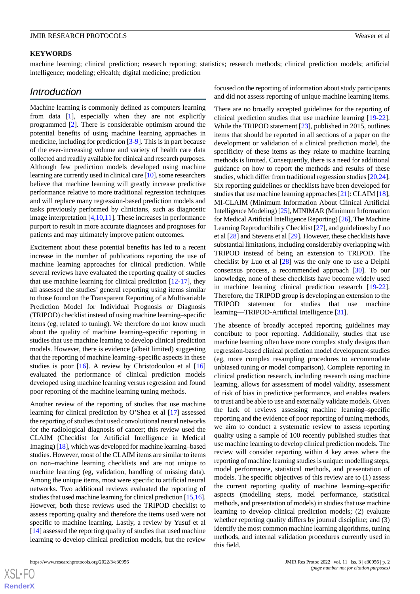### **KEYWORDS**

machine learning; clinical prediction; research reporting; statistics; research methods; clinical prediction models; artificial intelligence; modeling; eHealth; digital medicine; prediction

## *Introduction*

Machine learning is commonly defined as computers learning from data [\[1](#page-9-0)], especially when they are not explicitly programmed [[2\]](#page-9-1). There is considerable optimism around the potential benefits of using machine learning approaches in medicine, including for prediction [\[3](#page-9-2)[-9](#page-9-3)]. This is in part because of the ever-increasing volume and variety of health care data collected and readily available for clinical and research purposes. Although few prediction models developed using machine learning are currently used in clinical care [\[10\]](#page-9-4), some researchers believe that machine learning will greatly increase predictive performance relative to more traditional regression techniques and will replace many regression-based prediction models and tasks previously performed by clinicians, such as diagnostic image interpretation [\[4](#page-9-5),[10](#page-9-4)[,11](#page-9-6)]. These increases in performance purport to result in more accurate diagnoses and prognoses for patients and may ultimately improve patient outcomes.

Excitement about these potential benefits has led to a recent increase in the number of publications reporting the use of machine learning approaches for clinical prediction. While several reviews have evaluated the reporting quality of studies that use machine learning for clinical prediction [\[12](#page-9-7)-[17\]](#page-9-8), they all assessed the studies' general reporting using items similar to those found on the Transparent Reporting of a Multivariable Prediction Model for Individual Prognosis or Diagnosis (TRIPOD) checklist instead of using machine learning–specific items (eg, related to tuning). We therefore do not know much about the quality of machine learning–specific reporting in studies that use machine learning to develop clinical prediction models. However, there is evidence (albeit limited) suggesting that the reporting of machine learning–specific aspects in these studies is poor [\[16](#page-9-9)]. A review by Christodoulou et al [16] evaluated the performance of clinical prediction models developed using machine learning versus regression and found poor reporting of the machine learning tuning methods.

Another review of the reporting of studies that use machine learning for clinical prediction by O'Shea et al [\[17](#page-9-8)] assessed the reporting of studies that used convolutional neural networks for the radiological diagnosis of cancer; this review used the CLAIM (Checklist for Artificial Intelligence in Medical Imaging) [\[18](#page-9-10)], which was developed for machine learning–based studies. However, most of the CLAIM items are similar to items on non–machine learning checklists and are not unique to machine learning (eg, validation, handling of missing data). Among the unique items, most were specific to artificial neural networks. Two additional reviews evaluated the reporting of studies that used machine learning for clinical prediction [\[15](#page-9-11)[,16\]](#page-9-9). However, both these reviews used the TRIPOD checklist to assess reporting quality and therefore the items used were not specific to machine learning. Lastly, a review by Yusuf et al [[14\]](#page-9-12) assessed the reporting quality of studies that used machine learning to develop clinical prediction models, but the review

focused on the reporting of information about study participants and did not assess reporting of unique machine learning items.

There are no broadly accepted guidelines for the reporting of clinical prediction studies that use machine learning [[19-](#page-9-13)[22\]](#page-9-14). While the TRIPOD statement [\[23](#page-9-15)], published in 2015, outlines items that should be reported in all sections of a paper on the development or validation of a clinical prediction model, the specificity of these items as they relate to machine learning methods is limited. Consequently, there is a need for additional guidance on how to report the methods and results of these studies, which differ from traditional regression studies [[20,](#page-9-16)[24](#page-10-0)]. Six reporting guidelines or checklists have been developed for studies that use machine learning approaches [[21](#page-9-17)]: CLAIM [\[18](#page-9-10)], MI-CLAIM (Minimum Information About Clinical Artificial Intelligence Modeling) [[25\]](#page-10-1), MINIMAR (Minimum Information for Medical Artificial Intelligence Reporting) [[26\]](#page-10-2), The Machine Learning Reproducibility Checklist [\[27](#page-10-3)], and guidelines by Luo et al [[28\]](#page-10-4) and Stevens et al [\[29](#page-10-5)]. However, these checklists have substantial limitations, including considerably overlapping with TRIPOD instead of being an extension to TRIPOD. The checklist by Luo et al [[28\]](#page-10-4) was the only one to use a Delphi consensus process, a recommended approach [\[30](#page-10-6)]. To our knowledge, none of these checklists have become widely used in machine learning clinical prediction research [[19-](#page-9-13)[22\]](#page-9-14). Therefore, the TRIPOD group is developing an extension to the TRIPOD statement for studies that use machine learning—TRIPOD-Artificial Intelligence [[31\]](#page-10-7).

The absence of broadly accepted reporting guidelines may contribute to poor reporting. Additionally, studies that use machine learning often have more complex study designs than regression-based clinical prediction model development studies (eg, more complex resampling procedures to accommodate unbiased tuning or model comparison). Complete reporting in clinical prediction research, including research using machine learning, allows for assessment of model validity, assessment of risk of bias in predictive performance, and enables readers to trust and be able to use and externally validate models. Given the lack of reviews assessing machine learning–specific reporting and the evidence of poor reporting of tuning methods, we aim to conduct a systematic review to assess reporting quality using a sample of 100 recently published studies that use machine learning to develop clinical prediction models. The review will consider reporting within 4 key areas where the reporting of machine learning studies is unique: modelling steps, model performance, statistical methods, and presentation of models. The specific objectives of this review are to (1) assess the current reporting quality of machine learning–specific aspects (modelling steps, model performance, statistical methods, and presentation of models) in studies that use machine learning to develop clinical prediction models; (2) evaluate whether reporting quality differs by journal discipline; and (3) identify the most common machine learning algorithms, tuning methods, and internal validation procedures currently used in this field.

 $XS$  $\cdot$ FC **[RenderX](http://www.renderx.com/)**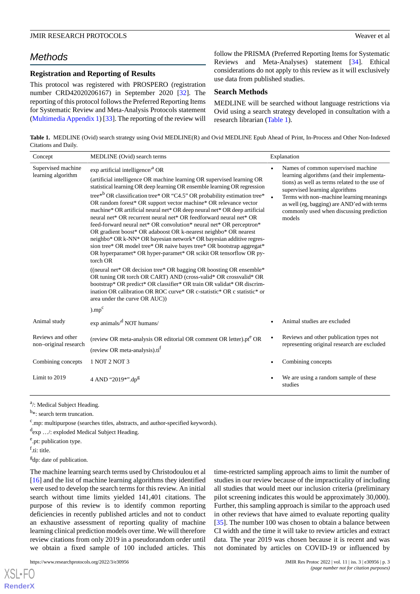# *Methods*

## **Registration and Reporting of Results**

This protocol was registered with PROSPERO (registration number CRD42020206167) in September 2020 [\[32](#page-10-8)]. The reporting of this protocol follows the Preferred Reporting Items for Systematic Review and Meta-Analysis Protocols statement ([Multimedia Appendix 1\)](#page-8-0) [\[33](#page-10-9)]. The reporting of the review will

follow the PRISMA (Preferred Reporting Items for Systematic Reviews and Meta-Analyses) statement [\[34](#page-10-10)]. Ethical considerations do not apply to this review as it will exclusively use data from published studies.

### **Search Methods**

MEDLINE will be searched without language restrictions via Ovid using a search strategy developed in consultation with a research librarian [\(Table 1\)](#page-2-0).

<span id="page-2-0"></span>**Table 1.** MEDLINE (Ovid) search strategy using Ovid MEDLINE(R) and Ovid MEDLINE Epub Ahead of Print, In-Process and Other Non-Indexed Citations and Daily.

| Concept                                    | MEDLINE (Ovid) search terms                                                                                                                                                                                                                                                                                                                                                                                                                                                                                                                                                                                                                                                                                                                                                                                                                                                                                                                                                                                                                                                                                                                                                                                                                    |           | Explanation                                                                                                                                                                                                                                                                                                          |
|--------------------------------------------|------------------------------------------------------------------------------------------------------------------------------------------------------------------------------------------------------------------------------------------------------------------------------------------------------------------------------------------------------------------------------------------------------------------------------------------------------------------------------------------------------------------------------------------------------------------------------------------------------------------------------------------------------------------------------------------------------------------------------------------------------------------------------------------------------------------------------------------------------------------------------------------------------------------------------------------------------------------------------------------------------------------------------------------------------------------------------------------------------------------------------------------------------------------------------------------------------------------------------------------------|-----------|----------------------------------------------------------------------------------------------------------------------------------------------------------------------------------------------------------------------------------------------------------------------------------------------------------------------|
| Supervised machine<br>learning algorithm   | $\exp$ artificial intelligence $/^{a}$ OR<br>(artificial intelligence OR machine learning OR supervised learning OR<br>statistical learning OR deep learning OR ensemble learning OR regression<br>tree* <sup>b</sup> OR classification tree* OR "C4.5" OR probability estimation tree*<br>OR random forest* OR support vector machine* OR relevance vector<br>machine* OR artificial neural net* OR deep neural net* OR deep artificial<br>neural net* OR recurrent neural net* OR feedforward neural net* OR<br>feed-forward neural net* OR convolution* neural net* OR perceptron*<br>OR gradient boost* OR adaboost OR k-nearest neighbo* OR nearest<br>neighbo* OR k-NN* OR bayesian network* OR bayesian additive regres-<br>sion tree* OR model tree* OR naive bayes tree* OR bootstrap aggregat*<br>OR hyperparamet* OR hyper-paramet* OR scikit OR tensorflow OR py-<br>torch OR<br>((neural net* OR decision tree* OR bagging OR boosting OR ensemble*<br>OR tuning OR torch OR CART) AND (cross-valid* OR crossvalid* OR<br>bootstrap* OR predict* OR classifier* OR train OR validat* OR discrim-<br>ination OR calibration OR ROC curve* OR c-statistic* OR c statistic* or<br>area under the curve OR AUC))<br>$) . \text{mp}^c$ | $\bullet$ | Names of common supervised machine<br>learning algorithms (and their implementa-<br>tions) as well as terms related to the use of<br>supervised learning algorithms<br>Terms with non-machine learning meanings<br>as well (eg, bagging) are AND'ed with terms<br>commonly used when discussing prediction<br>models |
| Animal study                               | $\exp$ animals/ $\mathrm{d}$ NOT humans/                                                                                                                                                                                                                                                                                                                                                                                                                                                                                                                                                                                                                                                                                                                                                                                                                                                                                                                                                                                                                                                                                                                                                                                                       |           | Animal studies are excluded                                                                                                                                                                                                                                                                                          |
| Reviews and other<br>non-original research | (review OR meta-analysis OR editorial OR comment OR letter).pt <sup>e</sup> OR<br>(review OR meta-analysis).ti <sup>f</sup>                                                                                                                                                                                                                                                                                                                                                                                                                                                                                                                                                                                                                                                                                                                                                                                                                                                                                                                                                                                                                                                                                                                    |           | Reviews and other publication types not<br>representing original research are excluded                                                                                                                                                                                                                               |
| Combining concepts                         | 1 NOT 2 NOT 3                                                                                                                                                                                                                                                                                                                                                                                                                                                                                                                                                                                                                                                                                                                                                                                                                                                                                                                                                                                                                                                                                                                                                                                                                                  |           | Combining concepts                                                                                                                                                                                                                                                                                                   |
| Limit to 2019                              | 4 AND "2019*". $dp^g$                                                                                                                                                                                                                                                                                                                                                                                                                                                                                                                                                                                                                                                                                                                                                                                                                                                                                                                                                                                                                                                                                                                                                                                                                          |           | We are using a random sample of these<br>studies                                                                                                                                                                                                                                                                     |

<sup>a</sup>/: Medical Subject Heading.

<sup>b</sup>\*: search term truncation.

<sup>c</sup>.mp: multipurpose (searches titles, abstracts, and author-specified keywords).

d exp …/: exploded Medical Subject Heading.

<sup>e</sup>.pt: publication type.

f<sub>.ti: title.</sub>

[XSL](http://www.w3.org/Style/XSL)•FO **[RenderX](http://www.renderx.com/)**

<sup>g</sup>dp: date of publication.

The machine learning search terms used by Christodoulou et al [[16\]](#page-9-9) and the list of machine learning algorithms they identified were used to develop the search terms for this review. An initial search without time limits yielded 141,401 citations. The purpose of this review is to identify common reporting deficiencies in recently published articles and not to conduct an exhaustive assessment of reporting quality of machine learning clinical prediction models over time. We will therefore review citations from only 2019 in a pseudorandom order until we obtain a fixed sample of 100 included articles. This

time-restricted sampling approach aims to limit the number of studies in our review because of the impracticality of including all studies that would meet our inclusion criteria (preliminary pilot screening indicates this would be approximately 30,000). Further, this sampling approach is similar to the approach used in other reviews that have aimed to evaluate reporting quality [[35\]](#page-10-11). The number 100 was chosen to obtain a balance between CI width and the time it will take to review articles and extract data. The year 2019 was chosen because it is recent and was not dominated by articles on COVID-19 or influenced by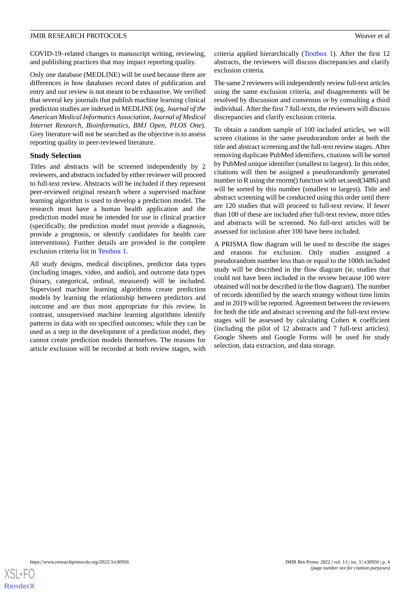COVID-19–related changes to manuscript writing, reviewing, and publishing practices that may impact reporting quality.

Only one database (MEDLINE) will be used because there are differences in how databases record dates of publication and entry and our review is not meant to be exhaustive. We verified that several key journals that publish machine learning clinical prediction studies are indexed in MEDLINE (eg, *Journal of the American Medical Informatics Association*, *Journal of Medical Internet Research*, *Bioinformatics*, *BMJ Open*, *PLOS One*). Grey literature will not be searched as the objective is to assess reporting quality in peer-reviewed literature.

## **Study Selection**

Titles and abstracts will be screened independently by 2 reviewers, and abstracts included by either reviewer will proceed to full-text review. Abstracts will be included if they represent peer-reviewed original research where a supervised machine learning algorithm is used to develop a prediction model. The research must have a human health application and the prediction model must be intended for use in clinical practice (specifically, the prediction model must provide a diagnosis, provide a prognosis, or identify candidates for health care interventions). Further details are provided in the complete exclusion criteria list in [Textbox 1](#page-4-0).

All study designs, medical disciplines, predictor data types (including images, video, and audio), and outcome data types (binary, categorical, ordinal, measured) will be included. Supervised machine learning algorithms create prediction models by learning the relationship between predictors and outcome and are thus most appropriate for this review. In contrast, unsupervised machine learning algorithms identify patterns in data with no specified outcomes; while they can be used as a step in the development of a prediction model, they cannot create prediction models themselves. The reasons for article exclusion will be recorded at both review stages, with

criteria applied hierarchically [\(Textbox 1](#page-4-0)). After the first 12 abstracts, the reviewers will discuss discrepancies and clarify exclusion criteria.

The same 2 reviewers will independently review full-text articles using the same exclusion criteria, and disagreements will be resolved by discussion and consensus or by consulting a third individual. After the first 7 full-texts, the reviewers will discuss discrepancies and clarify exclusion criteria.

To obtain a random sample of 100 included articles, we will screen citations in the same pseudorandom order at both the title and abstract screening and the full-text review stages. After removing duplicate PubMed identifiers, citations will be sorted by PubMed unique identifier (smallest to largest). In this order, citations will then be assigned a pseudorandomly generated number in R using the rnorm() function with set.seed(3486) and will be sorted by this number (smallest to largest). Title and abstract screening will be conducted using this order until there are 120 studies that will proceed to full-text review. If fewer than 100 of these are included after full-text review, more titles and abstracts will be screened. No full-text articles will be assessed for inclusion after 100 have been included.

A PRISMA flow diagram will be used to describe the stages and reasons for exclusion. Only studies assigned a pseudorandom number less than or equal to the 100th included study will be described in the flow diagram (ie, studies that could not have been included in the review because 100 were obtained will not be described in the flow diagram). The number of records identified by the search strategy without time limits and in 2019 will be reported. Agreement between the reviewers for both the title and abstract screening and the full-text review stages will be assessed by calculating Cohen κ coefficient (including the pilot of 12 abstracts and 7 full-text articles). Google Sheets and Google Forms will be used for study selection, data extraction, and data storage.

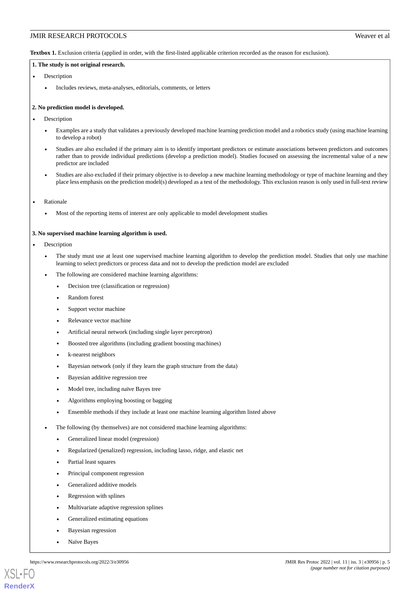<span id="page-4-0"></span>**Textbox 1.** Exclusion criteria (applied in order, with the first-listed applicable criterion recorded as the reason for exclusion).

#### **1. The study is not original research.**

- Description
	- Includes reviews, meta-analyses, editorials, comments, or letters

#### **2. No prediction model is developed.**

- **Description** 
	- Examples are a study that validates a previously developed machine learning prediction model and a robotics study (using machine learning to develop a robot)
	- Studies are also excluded if the primary aim is to identify important predictors or estimate associations between predictors and outcomes rather than to provide individual predictions (develop a prediction model). Studies focused on assessing the incremental value of a new predictor are included
	- Studies are also excluded if their primary objective is to develop a new machine learning methodology or type of machine learning and they place less emphasis on the prediction model(s) developed as a test of the methodology. This exclusion reason is only used in full-text review
- **Rationale** 
	- Most of the reporting items of interest are only applicable to model development studies

#### **3. No supervised machine learning algorithm is used.**

**Description** 

- The study must use at least one supervised machine learning algorithm to develop the prediction model. Studies that only use machine learning to select predictors or process data and not to develop the prediction model are excluded
- The following are considered machine learning algorithms:
	- Decision tree (classification or regression)
	- Random forest
	- Support vector machine
	- Relevance vector machine
	- Artificial neural network (including single layer perceptron)
	- Boosted tree algorithms (including gradient boosting machines)
	- k-nearest neighbors
	- Bayesian network (only if they learn the graph structure from the data)
	- Bayesian additive regression tree
	- Model tree, including naïve Bayes tree
	- Algorithms employing boosting or bagging
	- Ensemble methods if they include at least one machine learning algorithm listed above
- The following (by themselves) are not considered machine learning algorithms:
	- Generalized linear model (regression)
	- Regularized (penalized) regression, including lasso, ridge, and elastic net
	- Partial least squares
	- Principal component regression
	- Generalized additive models
	- Regression with splines
	- Multivariate adaptive regression splines
	- Generalized estimating equations
	- Bayesian regression
	- Naïve Bayes



**[RenderX](http://www.renderx.com/)**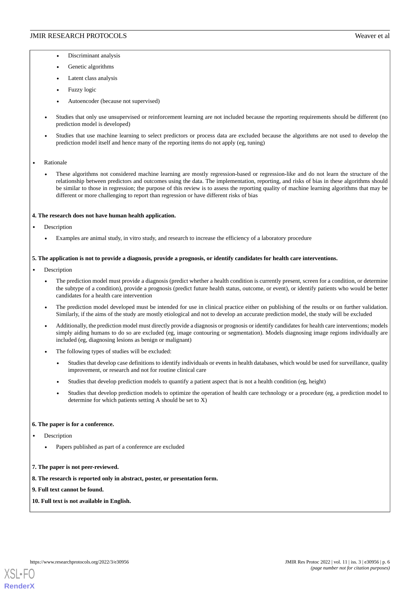- Discriminant analysis
- Genetic algorithms
- Latent class analysis
- Fuzzy logic
- Autoencoder (because not supervised)
- Studies that only use unsupervised or reinforcement learning are not included because the reporting requirements should be different (no prediction model is developed)
- Studies that use machine learning to select predictors or process data are excluded because the algorithms are not used to develop the prediction model itself and hence many of the reporting items do not apply (eg, tuning)
- **Rationale** 
	- These algorithms not considered machine learning are mostly regression-based or regression-like and do not learn the structure of the relationship between predictors and outcomes using the data. The implementation, reporting, and risks of bias in these algorithms should be similar to those in regression; the purpose of this review is to assess the reporting quality of machine learning algorithms that may be different or more challenging to report than regression or have different risks of bias

#### **4. The research does not have human health application.**

- **Description** 
	- Examples are animal study, in vitro study, and research to increase the efficiency of a laboratory procedure

#### **5. The application is not to provide a diagnosis, provide a prognosis, or identify candidates for health care interventions.**

- **Description** 
	- The prediction model must provide a diagnosis (predict whether a health condition is currently present, screen for a condition, or determine the subtype of a condition), provide a prognosis (predict future health status, outcome, or event), or identify patients who would be better candidates for a health care intervention
	- The prediction model developed must be intended for use in clinical practice either on publishing of the results or on further validation. Similarly, if the aims of the study are mostly etiological and not to develop an accurate prediction model, the study will be excluded
	- Additionally, the prediction model must directly provide a diagnosis or prognosis or identify candidates for health care interventions; models simply aiding humans to do so are excluded (eg, image contouring or segmentation). Models diagnosing image regions individually are included (eg, diagnosing lesions as benign or malignant)
	- The following types of studies will be excluded:
		- Studies that develop case definitions to identify individuals or events in health databases, which would be used for surveillance, quality improvement, or research and not for routine clinical care
		- Studies that develop prediction models to quantify a patient aspect that is not a health condition (eg, height)
		- Studies that develop prediction models to optimize the operation of health care technology or a procedure (eg, a prediction model to determine for which patients setting A should be set to X)

#### **6. The paper is for a conference.**

- **Description** 
	- Papers published as part of a conference are excluded
- **7. The paper is not peer-reviewed.**
- **8. The research is reported only in abstract, poster, or presentation form.**
- **9. Full text cannot be found.**
- **10. Full text is not available in English.**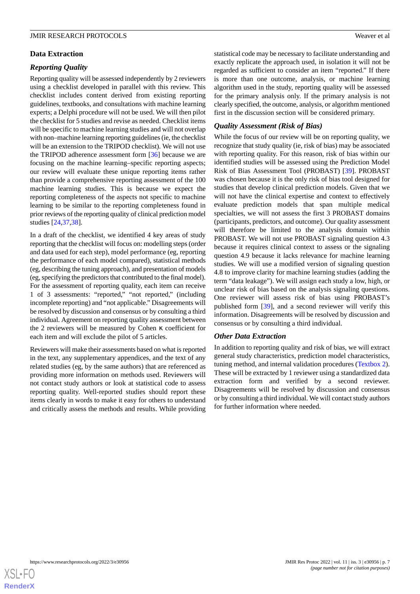## **Data Extraction**

## *Reporting Quality*

Reporting quality will be assessed independently by 2 reviewers using a checklist developed in parallel with this review. This checklist includes content derived from existing reporting guidelines, textbooks, and consultations with machine learning experts; a Delphi procedure will not be used. We will then pilot the checklist for 5 studies and revise as needed. Checklist items will be specific to machine learning studies and will not overlap with non–machine learning reporting guidelines (ie, the checklist will be an extension to the TRIPOD checklist). We will not use the TRIPOD adherence assessment form [[36\]](#page-10-12) because we are focusing on the machine learning–specific reporting aspects; our review will evaluate these unique reporting items rather than provide a comprehensive reporting assessment of the 100 machine learning studies. This is because we expect the reporting completeness of the aspects not specific to machine learning to be similar to the reporting completeness found in prior reviews of the reporting quality of clinical prediction model studies [\[24](#page-10-0),[37,](#page-10-13)[38](#page-10-14)].

In a draft of the checklist, we identified 4 key areas of study reporting that the checklist will focus on: modelling steps (order and data used for each step), model performance (eg, reporting the performance of each model compared), statistical methods (eg, describing the tuning approach), and presentation of models (eg, specifying the predictors that contributed to the final model). For the assessment of reporting quality, each item can receive 1 of 3 assessments: "reported," "not reported," (including incomplete reporting) and "not applicable." Disagreements will be resolved by discussion and consensus or by consulting a third individual. Agreement on reporting quality assessment between the 2 reviewers will be measured by Cohen κ coefficient for each item and will exclude the pilot of 5 articles.

Reviewers will make their assessments based on what is reported in the text, any supplementary appendices, and the text of any related studies (eg, by the same authors) that are referenced as providing more information on methods used. Reviewers will not contact study authors or look at statistical code to assess reporting quality. Well-reported studies should report these items clearly in words to make it easy for others to understand and critically assess the methods and results. While providing

statistical code may be necessary to facilitate understanding and exactly replicate the approach used, in isolation it will not be regarded as sufficient to consider an item "reported." If there is more than one outcome, analysis, or machine learning algorithm used in the study, reporting quality will be assessed for the primary analysis only. If the primary analysis is not clearly specified, the outcome, analysis, or algorithm mentioned first in the discussion section will be considered primary.

## *Quality Assessment (Risk of Bias)*

While the focus of our review will be on reporting quality, we recognize that study quality (ie, risk of bias) may be associated with reporting quality. For this reason, risk of bias within our identified studies will be assessed using the Prediction Model Risk of Bias Assessment Tool (PROBAST) [\[39](#page-10-15)]. PROBAST was chosen because it is the only risk of bias tool designed for studies that develop clinical prediction models. Given that we will not have the clinical expertise and context to effectively evaluate prediction models that span multiple medical specialties, we will not assess the first 3 PROBAST domains (participants, predictors, and outcome). Our quality assessment will therefore be limited to the analysis domain within PROBAST. We will not use PROBAST signaling question 4.3 because it requires clinical context to assess or the signaling question 4.9 because it lacks relevance for machine learning studies. We will use a modified version of signaling question 4.8 to improve clarity for machine learning studies (adding the term "data leakage"). We will assign each study a low, high, or unclear risk of bias based on the analysis signaling questions. One reviewer will assess risk of bias using PROBAST's published form [[39\]](#page-10-15), and a second reviewer will verify this information. Disagreements will be resolved by discussion and consensus or by consulting a third individual.

### *Other Data Extraction*

In addition to reporting quality and risk of bias, we will extract general study characteristics, prediction model characteristics, tuning method, and internal validation procedures [\(Textbox 2\)](#page-7-0). These will be extracted by 1 reviewer using a standardized data extraction form and verified by a second reviewer. Disagreements will be resolved by discussion and consensus or by consulting a third individual. We will contact study authors for further information where needed.

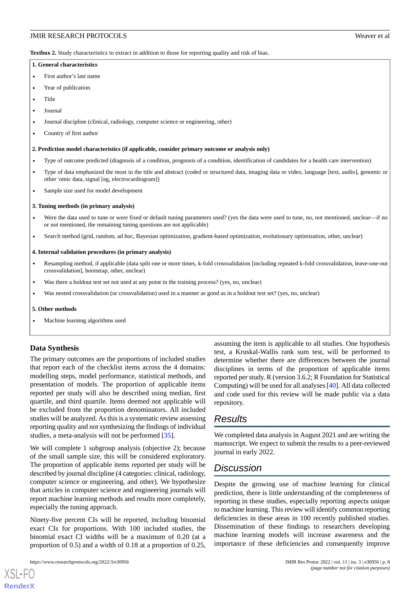<span id="page-7-0"></span>**Textbox 2.** Study characteristics to extract in addition to those for reporting quality and risk of bias.

#### **1. General characteristics**

- First author's last name
- Year of publication
- Title
- Journal
- Journal discipline (clinical, radiology, computer science or engineering, other)
- Country of first author

#### **2. Prediction model characteristics (if applicable, consider primary outcome or analysis only)**

- Type of outcome predicted (diagnosis of a condition, prognosis of a condition, identification of candidates for a health care intervention)
- Type of data emphasized the most in the title and abstract (coded or structured data, imaging data or video, language [text, audio], genomic or other 'omic data, signal [eg, electrocardiogram])
- Sample size used for model development

#### **3. Tuning methods (in primary analysis)**

- Were the data used to tune or were fixed or default tuning parameters used? (yes the data were used to tune, no, not mentioned, unclear—if no or not mentioned, the remaining tuning questions are not applicable)
- Search method (grid, random, ad hoc, Bayesian optimization, gradient-based optimization, evolutionary optimization, other, unclear)

#### **4. Internal validation procedures (in primary analysis)**

- Resampling method, if applicable (data split one or more times, k-fold crossvalidation [including repeated k-fold crossvalidation, leave-one-out crossvalidation], bootstrap, other, unclear)
- Was there a holdout test set not used at any point in the training process? (yes, no, unclear)
- Was nested crossvalidation (or crossvalidation) used in a manner as good as in a holdout test set? (yes, no, unclear)

#### **5. Other methods**

• Machine learning algorithms used

### **Data Synthesis**

The primary outcomes are the proportions of included studies that report each of the checklist items across the 4 domains: modelling steps, model performance, statistical methods, and presentation of models. The proportion of applicable items reported per study will also be described using median, first quartile, and third quartile. Items deemed not applicable will be excluded from the proportion denominators. All included studies will be analyzed. As this is a systematic review assessing reporting quality and not synthesizing the findings of individual studies, a meta-analysis will not be performed [\[35](#page-10-11)].

We will complete 1 subgroup analysis (objective 2); because of the small sample size, this will be considered exploratory. The proportion of applicable items reported per study will be described by journal discipline (4 categories: clinical, radiology, computer science or engineering, and other). We hypothesize that articles in computer science and engineering journals will report machine learning methods and results more completely, especially the tuning approach.

Ninety-five percent CIs will be reported, including binomial exact CIs for proportions. With 100 included studies, the binomial exact CI widths will be a maximum of 0.20 (at a proportion of 0.5) and a width of 0.18 at a proportion of 0.25,

assuming the item is applicable to all studies. One hypothesis test, a Kruskal-Wallis rank sum test, will be performed to determine whether there are differences between the journal disciplines in terms of the proportion of applicable items reported per study. R (version 3.6.2; R Foundation for Statistical Computing) will be used for all analyses [\[40](#page-10-16)]. All data collected and code used for this review will be made public via a data repository.

# *Results*

We completed data analysis in August 2021 and are writing the manuscript. We expect to submit the results to a peer-reviewed journal in early 2022.

# *Discussion*

Despite the growing use of machine learning for clinical prediction, there is little understanding of the completeness of reporting in these studies, especially reporting aspects unique to machine learning. This review will identify common reporting deficiencies in these areas in 100 recently published studies. Dissemination of these findings to researchers developing machine learning models will increase awareness and the importance of these deficiencies and consequently improve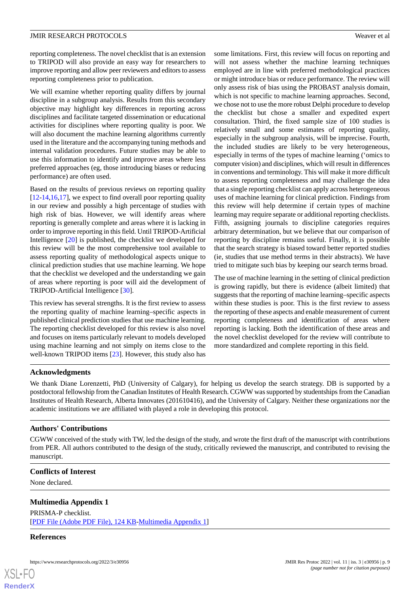reporting completeness. The novel checklist that is an extension to TRIPOD will also provide an easy way for researchers to improve reporting and allow peer reviewers and editors to assess reporting completeness prior to publication.

We will examine whether reporting quality differs by journal discipline in a subgroup analysis. Results from this secondary objective may highlight key differences in reporting across disciplines and facilitate targeted dissemination or educational activities for disciplines where reporting quality is poor. We will also document the machine learning algorithms currently used in the literature and the accompanying tuning methods and internal validation procedures. Future studies may be able to use this information to identify and improve areas where less preferred approaches (eg, those introducing biases or reducing performance) are often used.

Based on the results of previous reviews on reporting quality [[12](#page-9-7)[-14](#page-9-12),[16,](#page-9-9)[17](#page-9-8)], we expect to find overall poor reporting quality in our review and possibly a high percentage of studies with high risk of bias. However, we will identify areas where reporting is generally complete and areas where it is lacking in order to improve reporting in this field. Until TRIPOD-Artificial Intelligence [\[20](#page-9-16)] is published, the checklist we developed for this review will be the most comprehensive tool available to assess reporting quality of methodological aspects unique to clinical prediction studies that use machine learning. We hope that the checklist we developed and the understanding we gain of areas where reporting is poor will aid the development of TRIPOD-Artificial Intelligence [[30\]](#page-10-6).

This review has several strengths. It is the first review to assess the reporting quality of machine learning–specific aspects in published clinical prediction studies that use machine learning. The reporting checklist developed for this review is also novel and focuses on items particularly relevant to models developed using machine learning and not simply on items close to the well-known TRIPOD items [\[23](#page-9-15)]. However, this study also has

some limitations. First, this review will focus on reporting and will not assess whether the machine learning techniques employed are in line with preferred methodological practices or might introduce bias or reduce performance. The review will only assess risk of bias using the PROBAST analysis domain, which is not specific to machine learning approaches. Second, we chose not to use the more robust Delphi procedure to develop the checklist but chose a smaller and expedited expert consultation. Third, the fixed sample size of 100 studies is relatively small and some estimates of reporting quality, especially in the subgroup analysis, will be imprecise. Fourth, the included studies are likely to be very heterogeneous, especially in terms of the types of machine learning ('omics to computer vision) and disciplines, which will result in differences in conventions and terminology. This will make it more difficult to assess reporting completeness and may challenge the idea that a single reporting checklist can apply across heterogeneous uses of machine learning for clinical prediction. Findings from this review will help determine if certain types of machine learning may require separate or additional reporting checklists. Fifth, assigning journals to discipline categories requires arbitrary determination, but we believe that our comparison of reporting by discipline remains useful. Finally, it is possible that the search strategy is biased toward better reported studies (ie, studies that use method terms in their abstracts). We have tried to mitigate such bias by keeping our search terms broad.

The use of machine learning in the setting of clinical prediction is growing rapidly, but there is evidence (albeit limited) that suggests that the reporting of machine learning–specific aspects within these studies is poor. This is the first review to assess the reporting of these aspects and enable measurement of current reporting completeness and identification of areas where reporting is lacking. Both the identification of these areas and the novel checklist developed for the review will contribute to more standardized and complete reporting in this field.

### **Acknowledgments**

We thank Diane Lorenzetti, PhD (University of Calgary), for helping us develop the search strategy. DB is supported by a postdoctoral fellowship from the Canadian Institutes of Health Research. CGWW was supported by studentships from the Canadian Institutes of Health Research, Alberta Innovates (201610416), and the University of Calgary. Neither these organizations nor the academic institutions we are affiliated with played a role in developing this protocol.

## **Authors' Contributions**

<span id="page-8-0"></span>CGWW conceived of the study with TW, led the design of the study, and wrote the first draft of the manuscript with contributions from PER. All authors contributed to the design of the study, critically reviewed the manuscript, and contributed to revising the manuscript.

### **Conflicts of Interest**

None declared.

### **Multimedia Appendix 1**

PRISMA-P checklist. [[PDF File \(Adobe PDF File\), 124 KB](https://jmir.org/api/download?alt_name=resprot_v11i3e30956_app1.pdf&filename=5ec835abef01a3cc56d78b208504ca17.pdf)-[Multimedia Appendix 1\]](https://jmir.org/api/download?alt_name=resprot_v11i3e30956_app1.pdf&filename=5ec835abef01a3cc56d78b208504ca17.pdf)

### **References**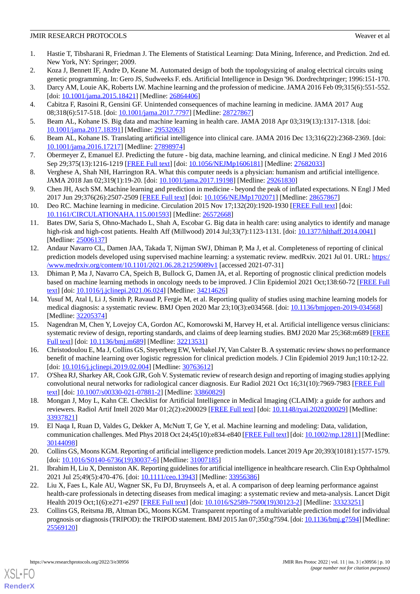- <span id="page-9-0"></span>1. Hastie T, Tibsharani R, Friedman J. The Elements of Statistical Learning: Data Mining, Inference, and Prediction. 2nd ed. New York, NY: Springer; 2009.
- <span id="page-9-2"></span><span id="page-9-1"></span>2. Koza J, Bennett IF, Andre D, Keane M. Automated design of both the topologysizing of analog electrical circuits using genetic programming. In: Gero JS, Sudweeks F. eds. Artificial Intelligence in Design '96. Dordrechtpringer; 1996:151-170.
- <span id="page-9-5"></span>3. Darcy AM, Louie AK, Roberts LW. Machine learning and the profession of medicine. JAMA 2016 Feb 09;315(6):551-552. [doi: [10.1001/jama.2015.18421\]](http://dx.doi.org/10.1001/jama.2015.18421) [Medline: [26864406](http://www.ncbi.nlm.nih.gov/entrez/query.fcgi?cmd=Retrieve&db=PubMed&list_uids=26864406&dopt=Abstract)]
- 4. Cabitza F, Rasoini R, Gensini GF. Unintended consequences of machine learning in medicine. JAMA 2017 Aug 08;318(6):517-518. [doi: [10.1001/jama.2017.7797](http://dx.doi.org/10.1001/jama.2017.7797)] [Medline: [28727867\]](http://www.ncbi.nlm.nih.gov/entrez/query.fcgi?cmd=Retrieve&db=PubMed&list_uids=28727867&dopt=Abstract)
- 5. Beam AL, Kohane IS. Big data and machine learning in health care. JAMA 2018 Apr 03;319(13):1317-1318. [doi: [10.1001/jama.2017.18391](http://dx.doi.org/10.1001/jama.2017.18391)] [Medline: [29532063](http://www.ncbi.nlm.nih.gov/entrez/query.fcgi?cmd=Retrieve&db=PubMed&list_uids=29532063&dopt=Abstract)]
- 6. Beam AL, Kohane IS. Translating artificial intelligence into clinical care. JAMA 2016 Dec 13;316(22):2368-2369. [doi: [10.1001/jama.2016.17217](http://dx.doi.org/10.1001/jama.2016.17217)] [Medline: [27898974](http://www.ncbi.nlm.nih.gov/entrez/query.fcgi?cmd=Retrieve&db=PubMed&list_uids=27898974&dopt=Abstract)]
- 7. Obermeyer Z, Emanuel EJ. Predicting the future big data, machine learning, and clinical medicine. N Engl J Med 2016 Sep 29;375(13):1216-1219 [\[FREE Full text\]](http://europepmc.org/abstract/MED/27682033) [doi: [10.1056/NEJMp1606181](http://dx.doi.org/10.1056/NEJMp1606181)] [Medline: [27682033](http://www.ncbi.nlm.nih.gov/entrez/query.fcgi?cmd=Retrieve&db=PubMed&list_uids=27682033&dopt=Abstract)]
- <span id="page-9-3"></span>8. Verghese A, Shah NH, Harrington RA. What this computer needs is a physician: humanism and artificial intelligence. JAMA 2018 Jan 02;319(1):19-20. [doi: [10.1001/jama.2017.19198\]](http://dx.doi.org/10.1001/jama.2017.19198) [Medline: [29261830](http://www.ncbi.nlm.nih.gov/entrez/query.fcgi?cmd=Retrieve&db=PubMed&list_uids=29261830&dopt=Abstract)]
- <span id="page-9-4"></span>9. Chen JH, Asch SM. Machine learning and prediction in medicine - beyond the peak of inflated expectations. N Engl J Med 2017 Jun 29;376(26):2507-2509 [[FREE Full text](http://europepmc.org/abstract/MED/28657867)] [doi: [10.1056/NEJMp1702071\]](http://dx.doi.org/10.1056/NEJMp1702071) [Medline: [28657867\]](http://www.ncbi.nlm.nih.gov/entrez/query.fcgi?cmd=Retrieve&db=PubMed&list_uids=28657867&dopt=Abstract)
- <span id="page-9-6"></span>10. Deo RC. Machine learning in medicine. Circulation 2015 Nov 17;132(20):1920-1930 [[FREE Full text](http://europepmc.org/abstract/MED/26572668)] [doi: [10.1161/CIRCULATIONAHA.115.001593\]](http://dx.doi.org/10.1161/CIRCULATIONAHA.115.001593) [Medline: [26572668\]](http://www.ncbi.nlm.nih.gov/entrez/query.fcgi?cmd=Retrieve&db=PubMed&list_uids=26572668&dopt=Abstract)
- <span id="page-9-7"></span>11. Bates DW, Saria S, Ohno-Machado L, Shah A, Escobar G. Big data in health care: using analytics to identify and manage high-risk and high-cost patients. Health Aff (Millwood) 2014 Jul;33(7):1123-1131. [doi: [10.1377/hlthaff.2014.0041](http://dx.doi.org/10.1377/hlthaff.2014.0041)] [Medline: [25006137](http://www.ncbi.nlm.nih.gov/entrez/query.fcgi?cmd=Retrieve&db=PubMed&list_uids=25006137&dopt=Abstract)]
- 12. Andaur Navarro CL, Damen JAA, Takada T, Nijman SWJ, Dhiman P, Ma J, et al. Completeness of reporting of clinical prediction models developed using supervised machine learning: a systematic review. medRxiv. 2021 Jul 01. URL: [https:/](https://www.medrxiv.org/content/10.1101/2021.06.28.21259089v1) [/www.medrxiv.org/content/10.1101/2021.06.28.21259089v1](https://www.medrxiv.org/content/10.1101/2021.06.28.21259089v1) [accessed 2021-07-31]
- <span id="page-9-12"></span>13. Dhiman P, Ma J, Navarro CA, Speich B, Bullock G, Damen JA, et al. Reporting of prognostic clinical prediction models based on machine learning methods in oncology needs to be improved. J Clin Epidemiol 2021 Oct;138:60-72 [[FREE Full](https://linkinghub.elsevier.com/retrieve/pii/S0895-4356(21)00202-X) [text](https://linkinghub.elsevier.com/retrieve/pii/S0895-4356(21)00202-X)] [doi: [10.1016/j.jclinepi.2021.06.024\]](http://dx.doi.org/10.1016/j.jclinepi.2021.06.024) [Medline: [34214626](http://www.ncbi.nlm.nih.gov/entrez/query.fcgi?cmd=Retrieve&db=PubMed&list_uids=34214626&dopt=Abstract)]
- <span id="page-9-11"></span>14. Yusuf M, Atal I, Li J, Smith P, Ravaud P, Fergie M, et al. Reporting quality of studies using machine learning models for medical diagnosis: a systematic review. BMJ Open 2020 Mar 23;10(3):e034568. [doi: [10.1136/bmjopen-2019-034568](http://dx.doi.org/10.1136/bmjopen-2019-034568)] [Medline: [32205374](http://www.ncbi.nlm.nih.gov/entrez/query.fcgi?cmd=Retrieve&db=PubMed&list_uids=32205374&dopt=Abstract)]
- <span id="page-9-9"></span>15. Nagendran M, Chen Y, Lovejoy CA, Gordon AC, Komorowski M, Harvey H, et al. Artificial intelligence versus clinicians: systematic review of design, reporting standards, and claims of deep learning studies. BMJ 2020 Mar 25;368:m689 [\[FREE](http://www.bmj.com/lookup/pmidlookup?view=long&pmid=32213531) [Full text\]](http://www.bmj.com/lookup/pmidlookup?view=long&pmid=32213531) [doi: [10.1136/bmj.m689](http://dx.doi.org/10.1136/bmj.m689)] [Medline: [32213531](http://www.ncbi.nlm.nih.gov/entrez/query.fcgi?cmd=Retrieve&db=PubMed&list_uids=32213531&dopt=Abstract)]
- <span id="page-9-10"></span><span id="page-9-8"></span>16. Christodoulou E, Ma J, Collins GS, Steyerberg EW, Verbakel JY, Van Calster B. A systematic review shows no performance benefit of machine learning over logistic regression for clinical prediction models. J Clin Epidemiol 2019 Jun;110:12-22. [doi: 10.1016/*j.jclinepi.2019.02.004*] [Medline: [30763612\]](http://www.ncbi.nlm.nih.gov/entrez/query.fcgi?cmd=Retrieve&db=PubMed&list_uids=30763612&dopt=Abstract)
- <span id="page-9-13"></span>17. O'Shea RJ, Sharkey AR, Cook GJR, Goh V. Systematic review of research design and reporting of imaging studies applying convolutional neural networks for radiological cancer diagnosis. Eur Radiol 2021 Oct 16;31(10):7969-7983 [[FREE Full](http://europepmc.org/abstract/MED/33860829) [text](http://europepmc.org/abstract/MED/33860829)] [doi: [10.1007/s00330-021-07881-2\]](http://dx.doi.org/10.1007/s00330-021-07881-2) [Medline: [33860829\]](http://www.ncbi.nlm.nih.gov/entrez/query.fcgi?cmd=Retrieve&db=PubMed&list_uids=33860829&dopt=Abstract)
- <span id="page-9-16"></span>18. Mongan J, Moy L, Kahn CE. Checklist for Artificial Intelligence in Medical Imaging (CLAIM): a guide for authors and reviewers. Radiol Artif Intell 2020 Mar 01;2(2):e200029 [[FREE Full text](http://europepmc.org/abstract/MED/33937821)] [doi: [10.1148/ryai.2020200029\]](http://dx.doi.org/10.1148/ryai.2020200029) [Medline: [33937821](http://www.ncbi.nlm.nih.gov/entrez/query.fcgi?cmd=Retrieve&db=PubMed&list_uids=33937821&dopt=Abstract)]
- <span id="page-9-17"></span><span id="page-9-14"></span>19. El Naqa I, Ruan D, Valdes G, Dekker A, McNutt T, Ge Y, et al. Machine learning and modeling: Data, validation, communication challenges. Med Phys 2018 Oct 24;45(10):e834-e840 [\[FREE Full text](http://europepmc.org/abstract/MED/30144098)] [doi: [10.1002/mp.12811](http://dx.doi.org/10.1002/mp.12811)] [Medline: [30144098](http://www.ncbi.nlm.nih.gov/entrez/query.fcgi?cmd=Retrieve&db=PubMed&list_uids=30144098&dopt=Abstract)]
- 20. Collins GS, Moons KGM. Reporting of artificial intelligence prediction models. Lancet 2019 Apr 20;393(10181):1577-1579. [doi: [10.1016/S0140-6736\(19\)30037-6](http://dx.doi.org/10.1016/S0140-6736(19)30037-6)] [Medline: [31007185\]](http://www.ncbi.nlm.nih.gov/entrez/query.fcgi?cmd=Retrieve&db=PubMed&list_uids=31007185&dopt=Abstract)
- <span id="page-9-15"></span>21. Ibrahim H, Liu X, Denniston AK. Reporting guidelines for artificial intelligence in healthcare research. Clin Exp Ophthalmol 2021 Jul 25;49(5):470-476. [doi: [10.1111/ceo.13943\]](http://dx.doi.org/10.1111/ceo.13943) [Medline: [33956386\]](http://www.ncbi.nlm.nih.gov/entrez/query.fcgi?cmd=Retrieve&db=PubMed&list_uids=33956386&dopt=Abstract)
- 22. Liu X, Faes L, Kale AU, Wagner SK, Fu DJ, Bruynseels A, et al. A comparison of deep learning performance against health-care professionals in detecting diseases from medical imaging: a systematic review and meta-analysis. Lancet Digit Health 2019 Oct;1(6):e271-e297 [[FREE Full text](https://linkinghub.elsevier.com/retrieve/pii/S2589-7500(19)30123-2)] [doi: [10.1016/S2589-7500\(19\)30123-2\]](http://dx.doi.org/10.1016/S2589-7500(19)30123-2) [Medline: [33323251](http://www.ncbi.nlm.nih.gov/entrez/query.fcgi?cmd=Retrieve&db=PubMed&list_uids=33323251&dopt=Abstract)]
- 23. Collins GS, Reitsma JB, Altman DG, Moons KGM. Transparent reporting of a multivariable prediction model for individual prognosis or diagnosis (TRIPOD): the TRIPOD statement. BMJ 2015 Jan 07;350:g7594. [doi: [10.1136/bmj.g7594\]](http://dx.doi.org/10.1136/bmj.g7594) [Medline: [25569120](http://www.ncbi.nlm.nih.gov/entrez/query.fcgi?cmd=Retrieve&db=PubMed&list_uids=25569120&dopt=Abstract)]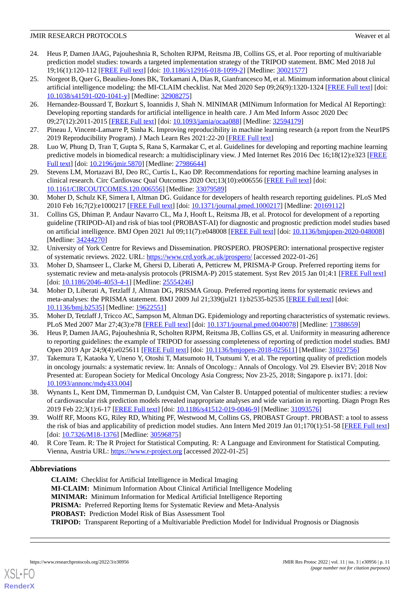- <span id="page-10-0"></span>24. Heus P, Damen JAAG, Pajouheshnia R, Scholten RJPM, Reitsma JB, Collins GS, et al. Poor reporting of multivariable prediction model studies: towards a targeted implementation strategy of the TRIPOD statement. BMC Med 2018 Jul 19;16(1):120-112 [[FREE Full text](https://bmcmedicine.biomedcentral.com/articles/10.1186/s12916-018-1099-2)] [doi: [10.1186/s12916-018-1099-2\]](http://dx.doi.org/10.1186/s12916-018-1099-2) [Medline: [30021577](http://www.ncbi.nlm.nih.gov/entrez/query.fcgi?cmd=Retrieve&db=PubMed&list_uids=30021577&dopt=Abstract)]
- <span id="page-10-1"></span>25. Norgeot B, Quer G, Beaulieu-Jones BK, Torkamani A, Dias R, Gianfrancesco M, et al. Minimum information about clinical artificial intelligence modeling: the MI-CLAIM checklist. Nat Med 2020 Sep 09;26(9):1320-1324 [[FREE Full text](http://europepmc.org/abstract/MED/32908275)] [doi: [10.1038/s41591-020-1041-y\]](http://dx.doi.org/10.1038/s41591-020-1041-y) [Medline: [32908275](http://www.ncbi.nlm.nih.gov/entrez/query.fcgi?cmd=Retrieve&db=PubMed&list_uids=32908275&dopt=Abstract)]
- <span id="page-10-2"></span>26. Hernandez-Boussard T, Bozkurt S, Ioannidis J, Shah N. MINIMAR (MINimum Information for Medical AI Reporting): Developing reporting standards for artificial intelligence in health care. J Am Med Inform Assoc 2020 Dec 09;27(12):2011-2015 [[FREE Full text](http://europepmc.org/abstract/MED/32594179)] [doi: [10.1093/jamia/ocaa088](http://dx.doi.org/10.1093/jamia/ocaa088)] [Medline: [32594179\]](http://www.ncbi.nlm.nih.gov/entrez/query.fcgi?cmd=Retrieve&db=PubMed&list_uids=32594179&dopt=Abstract)
- <span id="page-10-4"></span><span id="page-10-3"></span>27. Pineau J, Vincent-Lamarre P, Sinha K. Improving reproducibility in machine learning research (a report from the NeurIPS 2019 Reproducibility Program). J Mach Learn Res 2021:22-20 [[FREE Full text](https://jmlr.csail.mit.edu/papers/volume22/20-303/20-303.pdf)]
- <span id="page-10-5"></span>28. Luo W, Phung D, Tran T, Gupta S, Rana S, Karmakar C, et al. Guidelines for developing and reporting machine learning predictive models in biomedical research: a multidisciplinary view. J Med Internet Res 2016 Dec 16;18(12):e323 [\[FREE](https://www.jmir.org/2016/12/e323/) [Full text\]](https://www.jmir.org/2016/12/e323/) [doi: [10.2196/jmir.5870](http://dx.doi.org/10.2196/jmir.5870)] [Medline: [27986644\]](http://www.ncbi.nlm.nih.gov/entrez/query.fcgi?cmd=Retrieve&db=PubMed&list_uids=27986644&dopt=Abstract)
- <span id="page-10-6"></span>29. Stevens LM, Mortazavi BJ, Deo RC, Curtis L, Kao DP. Recommendations for reporting machine learning analyses in clinical research. Circ Cardiovasc Qual Outcomes 2020 Oct;13(10):e006556 [[FREE Full text](https://www.ahajournals.org/doi/abs/10.1161/CIRCOUTCOMES.120.006556?url_ver=Z39.88-2003&rfr_id=ori:rid:crossref.org&rfr_dat=cr_pub%3dpubmed)] [doi: [10.1161/CIRCOUTCOMES.120.006556](http://dx.doi.org/10.1161/CIRCOUTCOMES.120.006556)] [Medline: [33079589\]](http://www.ncbi.nlm.nih.gov/entrez/query.fcgi?cmd=Retrieve&db=PubMed&list_uids=33079589&dopt=Abstract)
- <span id="page-10-7"></span>30. Moher D, Schulz KF, Simera I, Altman DG. Guidance for developers of health research reporting guidelines. PLoS Med 2010 Feb 16;7(2):e1000217 [\[FREE Full text](https://dx.plos.org/10.1371/journal.pmed.1000217)] [doi: [10.1371/journal.pmed.1000217\]](http://dx.doi.org/10.1371/journal.pmed.1000217) [Medline: [20169112](http://www.ncbi.nlm.nih.gov/entrez/query.fcgi?cmd=Retrieve&db=PubMed&list_uids=20169112&dopt=Abstract)]
- <span id="page-10-8"></span>31. Collins GS, Dhiman P, Andaur Navarro CL, Ma J, Hooft L, Reitsma JB, et al. Protocol for development of a reporting guideline (TRIPOD-AI) and risk of bias tool (PROBAST-AI) for diagnostic and prognostic prediction model studies based on artificial intelligence. BMJ Open 2021 Jul 09;11(7):e048008 [\[FREE Full text\]](https://bmjopen.bmj.com/lookup/pmidlookup?view=long&pmid=34244270) [doi: [10.1136/bmjopen-2020-048008\]](http://dx.doi.org/10.1136/bmjopen-2020-048008) [Medline: [34244270](http://www.ncbi.nlm.nih.gov/entrez/query.fcgi?cmd=Retrieve&db=PubMed&list_uids=34244270&dopt=Abstract)]
- <span id="page-10-9"></span>32. University of York Centre for Reviews and Dissemination. PROSPERO. PROSPERO: international prospective register of systematic reviews. 2022. URL: <https://www.crd.york.ac.uk/prospero/> [accessed 2022-01-26]
- <span id="page-10-10"></span>33. Moher D, Shamseer L, Clarke M, Ghersi D, Liberati A, Petticrew M, PRISMA-P Group. Preferred reporting items for systematic review and meta-analysis protocols (PRISMA-P) 2015 statement. Syst Rev 2015 Jan 01;4:1 [[FREE Full text\]](https://systematicreviewsjournal.biomedcentral.com/articles/10.1186/2046-4053-4-1) [doi: [10.1186/2046-4053-4-1](http://dx.doi.org/10.1186/2046-4053-4-1)] [Medline: [25554246\]](http://www.ncbi.nlm.nih.gov/entrez/query.fcgi?cmd=Retrieve&db=PubMed&list_uids=25554246&dopt=Abstract)
- <span id="page-10-12"></span><span id="page-10-11"></span>34. Moher D, Liberati A, Tetzlaff J, Altman DG, PRISMA Group. Preferred reporting items for systematic reviews and meta-analyses: the PRISMA statement. BMJ 2009 Jul 21;339(jul21 1):b2535-b2535 [\[FREE Full text\]](http://www.bmj.com/lookup/pmidlookup?view=long&pmid=19622551) [doi: [10.1136/bmj.b2535\]](http://dx.doi.org/10.1136/bmj.b2535) [Medline: [19622551\]](http://www.ncbi.nlm.nih.gov/entrez/query.fcgi?cmd=Retrieve&db=PubMed&list_uids=19622551&dopt=Abstract)
- <span id="page-10-13"></span>35. Moher D, Tetzlaff J, Tricco AC, Sampson M, Altman DG. Epidemiology and reporting characteristics of systematic reviews. PLoS Med 2007 Mar 27;4(3):e78 [\[FREE Full text\]](https://dx.plos.org/10.1371/journal.pmed.0040078) [doi: [10.1371/journal.pmed.0040078\]](http://dx.doi.org/10.1371/journal.pmed.0040078) [Medline: [17388659\]](http://www.ncbi.nlm.nih.gov/entrez/query.fcgi?cmd=Retrieve&db=PubMed&list_uids=17388659&dopt=Abstract)
- 36. Heus P, Damen JAAG, Pajouheshnia R, Scholten RJPM, Reitsma JB, Collins GS, et al. Uniformity in measuring adherence to reporting guidelines: the example of TRIPOD for assessing completeness of reporting of prediction model studies. BMJ Open 2019 Apr 24;9(4):e025611 [[FREE Full text](https://bmjopen.bmj.com/lookup/pmidlookup?view=long&pmid=31023756)] [doi: [10.1136/bmjopen-2018-025611](http://dx.doi.org/10.1136/bmjopen-2018-025611)] [Medline: [31023756](http://www.ncbi.nlm.nih.gov/entrez/query.fcgi?cmd=Retrieve&db=PubMed&list_uids=31023756&dopt=Abstract)]
- <span id="page-10-14"></span>37. Takemura T, Kataoka Y, Uneno Y, Otoshi T, Matsumoto H, Tsutsumi Y, et al. The reporting quality of prediction models in oncology journals: a systematic review. In: Annals of Oncology.: Annals of Oncology. Vol 29. Elsevier BV; 2018 Nov Presented at: European Society for Medical Oncology Asia Congress; Nov 23-25, 2018; Singapore p. ix171. [doi: [10.1093/annonc/mdy433.004\]](http://dx.doi.org/10.1093/annonc/mdy433.004)
- <span id="page-10-16"></span><span id="page-10-15"></span>38. Wynants L, Kent DM, Timmerman D, Lundquist CM, Van Calster B. Untapped potential of multicenter studies: a review of cardiovascular risk prediction models revealed inappropriate analyses and wide variation in reporting. Diagn Progn Res 2019 Feb 22;3(1):6-17 [[FREE Full text](http://europepmc.org/abstract/MED/31093576)] [doi: [10.1186/s41512-019-0046-9\]](http://dx.doi.org/10.1186/s41512-019-0046-9) [Medline: [31093576](http://www.ncbi.nlm.nih.gov/entrez/query.fcgi?cmd=Retrieve&db=PubMed&list_uids=31093576&dopt=Abstract)]
- 39. Wolff RF, Moons KG, Riley RD, Whiting PF, Westwood M, Collins GS, PROBAST Group†. PROBAST: a tool to assess the risk of bias and applicability of prediction model studies. Ann Intern Med 2019 Jan 01;170(1):51-58 [\[FREE Full text\]](https://www.acpjournals.org/doi/abs/10.7326/M18-1376?url_ver=Z39.88-2003&rfr_id=ori:rid:crossref.org&rfr_dat=cr_pub%3dpubmed) [doi: [10.7326/M18-1376](http://dx.doi.org/10.7326/M18-1376)] [Medline: [30596875](http://www.ncbi.nlm.nih.gov/entrez/query.fcgi?cmd=Retrieve&db=PubMed&list_uids=30596875&dopt=Abstract)]
- 40. R Core Team. R: The R Project for Statistical Computing. R: A Language and Environment for Statistical Computing. Vienna, Austria URL:<https://www.r-project.org> [accessed 2022-01-25]

## **Abbreviations**

[XSL](http://www.w3.org/Style/XSL)•FO **[RenderX](http://www.renderx.com/)**

**CLAIM:** Checklist for Artificial Intelligence in Medical Imaging **MI-CLAIM:** Minimum Information About Clinical Artificial Intelligence Modeling **MINIMAR:** Minimum Information for Medical Artificial Intelligence Reporting PRISMA: Preferred Reporting Items for Systematic Review and Meta-Analysis **PROBAST:** Prediction Model Risk of Bias Assessment Tool **TRIPOD:** Transparent Reporting of a Multivariable Prediction Model for Individual Prognosis or Diagnosis